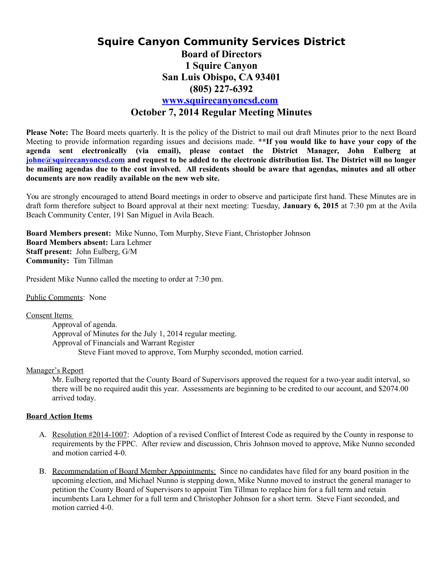# **Squire Canyon Community Services District Board of Directors 1 Squire Canyon San Luis Obispo, CA 93401 (805) 227-6392 [www.squirecanyoncsd.com](http://www.squirecanyoncsd.com/) October 7, 2014 Regular Meeting Minutes**

**Please Note:** The Board meets quarterly. It is the policy of the District to mail out draft Minutes prior to the next Board Meeting to provide information regarding issues and decisions made. **\*\*If you would like to have your copy of the agenda sent electronically (via email), please contact the District Manager, John Eulberg at [johne@squirecanyoncsd.com](mailto:johne@squirecanyoncsd.com) and request to be added to the electronic distribution list. The District will no longer be mailing agendas due to the cost involved. All residents should be aware that agendas, minutes and all other documents are now readily available on the new web site.** 

You are strongly encouraged to attend Board meetings in order to observe and participate first hand. These Minutes are in draft form therefore subject to Board approval at their next meeting: Tuesday, **January 6, 2015** at 7:30 pm at the Avila Beach Community Center, 191 San Miguel in Avila Beach.

**Board Members present:** Mike Nunno, Tom Murphy, Steve Fiant, Christopher Johnson **Board Members absent:** Lara Lehmer **Staff present:** John Eulberg, G/M **Community:** Tim Tillman

President Mike Nunno called the meeting to order at 7:30 pm.

Public Comments: None

#### Consent Items

Approval of agenda. Approval of Minutes for the July 1, 2014 regular meeting. Approval of Financials and Warrant Register Steve Fiant moved to approve, Tom Murphy seconded, motion carried.

### Manager's Report

Mr. Eulberg reported that the County Board of Supervisors approved the request for a two-year audit interval, so there will be no required audit this year. Assessments are beginning to be credited to our account, and \$2074.00 arrived today.

### **Board Action Items**

- A. Resolution #2014-1007: Adoption of a revised Conflict of Interest Code as required by the County in response to requirements by the FPPC. After review and discussion, Chris Johnson moved to approve, Mike Nunno seconded and motion carried 4-0.
- B. Recommendation of Board Member Appointments: Since no candidates have filed for any board position in the upcoming election, and Michael Nunno is stepping down, Mike Nunno moved to instruct the general manager to petition the County Board of Supervisors to appoint Tim Tillman to replace him for a full term and retain incumbents Lara Lehmer for a full term and Christopher Johnson for a short term. Steve Fiant seconded, and motion carried 4-0.